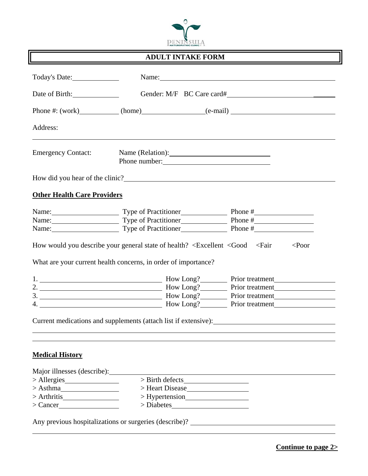

## **ADULT INTAKE FORM**

| Today's Date:                      |                                                                                                                                                                 |                                     |
|------------------------------------|-----------------------------------------------------------------------------------------------------------------------------------------------------------------|-------------------------------------|
| Date of Birth:                     |                                                                                                                                                                 |                                     |
|                                    |                                                                                                                                                                 | Phone $\#$ : (work) (home) (e-mail) |
| Address:                           |                                                                                                                                                                 |                                     |
|                                    | ,我们也不会有什么。""我们的人,我们也不会有什么?""我们的人,我们也不会有什么?""我们的人,我们也不会有什么?""我们的人,我们也不会有什么?""我们的人                                                                                |                                     |
|                                    |                                                                                                                                                                 |                                     |
| <b>Other Health Care Providers</b> |                                                                                                                                                                 |                                     |
|                                    |                                                                                                                                                                 | Name: Type of Practitioner Phone #  |
|                                    |                                                                                                                                                                 | Name: Type of Practitioner Phone #  |
|                                    |                                                                                                                                                                 | Name: Type of Practitioner Phone #  |
|                                    | How would you describe your general state of health? <excellent <fair<br="" <good="">What are your current health concerns, in order of importance?</excellent> | $\epsilon$ Poor                     |
|                                    |                                                                                                                                                                 |                                     |
|                                    |                                                                                                                                                                 |                                     |
|                                    |                                                                                                                                                                 |                                     |
|                                    |                                                                                                                                                                 | 4. Now Long? Prior treatment        |
| <b>Medical History</b>             |                                                                                                                                                                 |                                     |
| Major illnesses (describe):        |                                                                                                                                                                 |                                     |
| $>$ Allergies                      |                                                                                                                                                                 |                                     |
| $>$ Asthma                         |                                                                                                                                                                 |                                     |
| > Arthritis                        | > Hypertension                                                                                                                                                  |                                     |
| $>$ Cancer                         |                                                                                                                                                                 |                                     |
|                                    |                                                                                                                                                                 |                                     |

Any previous hospitalizations or surgeries (describe)?